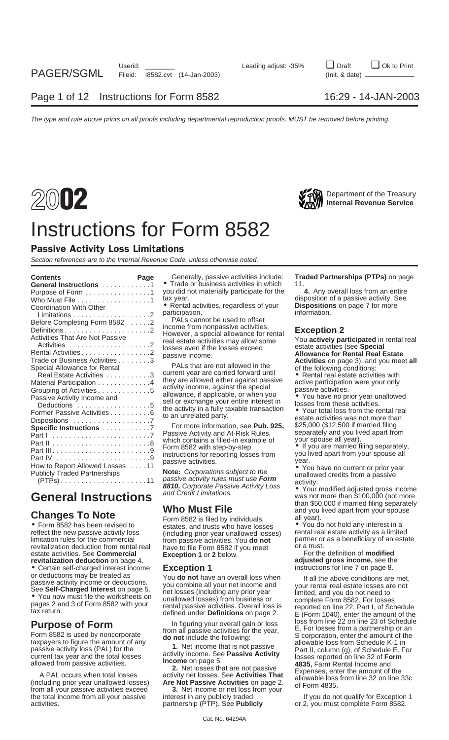

## Instructions for Form 8582

### Passive Activity Loss Limitations

Section references are to the Internal Revenue Code, unless otherwise noted.

| General Instructions 1<br>Purpose of Form 1<br>Who Must File 1<br>Coordination With Other                                                                                                                                        | • Trade or business activities in which<br>you did not materially participate for the<br>tax year.<br>• Rental activities, regardless of your<br>participation.<br>PALs cannot be used to offset                                                                                                                            | 11.<br>4. Any overall loss from an entire<br>disposition of a passive activity. See<br><b>Dispositions</b> on page 7 for more<br>information.                                                                                                                                                                                         |
|----------------------------------------------------------------------------------------------------------------------------------------------------------------------------------------------------------------------------------|-----------------------------------------------------------------------------------------------------------------------------------------------------------------------------------------------------------------------------------------------------------------------------------------------------------------------------|---------------------------------------------------------------------------------------------------------------------------------------------------------------------------------------------------------------------------------------------------------------------------------------------------------------------------------------|
| Before Completing Form 8582 2<br><b>Activities That Are Not Passive</b><br>Rental Activities 2                                                                                                                                   | income from nonpassive activities.<br>However, a special allowance for rental<br>real estate activities may allow some<br>losses even if the losses exceed<br>passive income.                                                                                                                                               | <b>Exception 2</b><br>You actively participated in rental real<br>estate activities (see Special<br><b>Allowance for Rental Real Estate</b>                                                                                                                                                                                           |
| Trade or Business Activities 3<br>Special Allowance for Rental<br>Real Estate Activities 3<br>Material Participation 4<br>Grouping of Activities 5<br>Passive Activity Income and<br>Deductions 5<br>Former Passive Activities 6 | PALs that are not allowed in the<br>current year are carried forward until<br>they are allowed either against passive<br>activity income, against the special<br>allowance, if applicable, or when you<br>sell or exchange your entire interest in<br>the activity in a fully taxable transaction<br>to an unrelated party. | Activities on page 3), and you meet all<br>of the following conditions:<br>• Rental real estate activities with<br>active participation were your only<br>passive activities.<br>• You have no prior year unallowed<br>losses from these activities.<br>• Your total loss from the rental real<br>estate activities was not more than |
| Dispositions 7<br>Specific Instructions 7<br>How to Report Allowed Losses 11                                                                                                                                                     | For more information, see Pub. 925,<br>Passive Activity and At-Risk Rules,<br>which contains a filled-in example of<br>Form 8582 with step-by-step<br>instructions for reporting losses from<br>passive activities.<br><b>Note:</b> Corporations subject to the                                                             | \$25,000 (\$12,500 if married filing<br>separately and you lived apart from<br>your spouse all year).<br>• If you are married filing separately,<br>you lived apart from your spouse all<br>year.<br>• You have no current or prior year                                                                                              |
| <b>Publicly Traded Partnerships</b><br>$(PTPs) \ldots \ldots \ldots \ldots \ldots \ldots \ldots 11$<br><b>General Instructions</b>                                                                                               | passive activity rules must use Form<br>8810, Corporate Passive Activity Loss<br>and Credit Limitations.                                                                                                                                                                                                                    | unallowed credits from a passive<br>activity.<br>• Your modified adjusted gross income<br>was not more than \$100,000 (not more<br>than SEO 000 if married filing congrately                                                                                                                                                          |

reflect the new passive activity loss (including prior year unallowed losses) rental real estate activity as a limited<br>
limitation rules for the commercial from passive activities You **do not** partner or as a beneficiary o revitalization deduction from rental real have to file Form 8582 if you meet or a trust.<br>
estate activities. See **Commercial** Exception 1 or 2 below **Form 8582** For the definition of modified estate activities. See **Commercial Exception 1** or **2** below. For the definition of **modified**<br>**revitalization deduction** on page 4. **Exception 1** or **2** below. **adjusted gross income**, see the

• Certain self-charged interest income **Exception 1** or deductions may be treated as  $\frac{1}{2}$  or **do not** have or deductions may be treated as<br>
passive activity income or deductions.<br>
See **Self-Charged Interest** on page 5.<br>
• You now must file the worksheets on<br>
• You now must file the worksheets on<br>
pages 2 and 3 of Form 8582 with

the total income from all your passive interest in any publicly traded If you do not qualify for Exception 1<br>activities. exercity in activities. partnership (PTP). See **Publicly** or 2, you must complete Form 8582. activities. partnership (PTP). See **Publicly** or 2, you must complete Form 8582.

**Contents Page** Generally, passive activities include: **Traded Partnerships (PTPs)** on page **Trade or business activities in which** 11.<br>you did not materially participate for the **4.** Any overall loss from an entire you did not materially participate for the tax year.

**Cridinges To Note**<br>• Form 8582 has been revised to estates, and trusts who have losses • You do not hold any interest in a<br>• You do not hold any interest in a<br>• reflect the new passive activity loss including prior year from passive activities. You **do not** partner or<br>have to file Form 8582 if you meet or a trust.

Than \$50,000 if married filing separately and you lived apart from your spouse<br> **Changes To Note** Form 8582 is filed by individuals, all year).

**revitalization deduction** on page 4. **adjusted gross income**, see the **adjusted gross income**, see the **adjusted gross income**, see the **adjusted gross income**, see the **adjusted gross income**, see the **adjusted gross inc** 

**Purpose of Form**<br>
Form 8582 is used by noncorporate<br>
transparent any and passive activities for the year,<br>
taxpayers to figure the amount of any<br>
passive activity loss (PAL) for the<br>
current tax year and the total losses<br>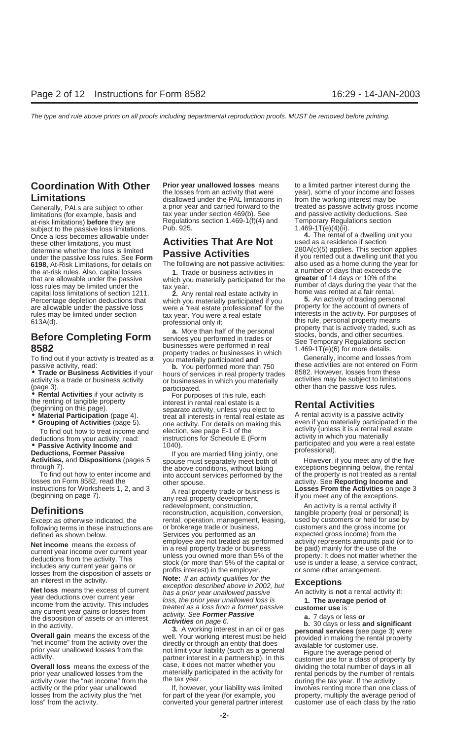# the losses from an activity that were year), some of your income and losses **Limitations** disallowed under the PAL limitations in from the working interest may be

limitations (for example, basis and tax year under section 469(b). See and passive activity deductions.<br>at-risk limitations) **before** they are Regulations section 1.469-1(f)(4) and Temporary Regulations section subject to the passive loss limitations. Pub. 925.<br>Once a loss becomes allowable under enterial control of a dwelling unit you Once a loss becomes allowable under **4.** The rental of a dwelling<br>these other limitations you must **Activities That Are Not** used as a residence if section these other limitations, you must **Activities That Are Not** the at-risk rules. Also, capital losses **1.** Trade or business activities in a number of days that exceeds the that are allowable under the passive which you materially participated for the **greater of** 14 days or 10% of t loss rules may be limited under the tax year.<br>
capital loss limitations of section 1211.<br>
Percentage depletion deductions that which you materially participated if you **5**. An activity of trading personal<br>
are allowable un

(beginning on this page).

Except as otherwise indicated, the rental, operation, management, leasing, used by customers or held for use by<br>following terms in these instructions are or brokerage trade or business. Customers and the gross income (or following terms in these instructions are or brokerage trade or business.<br>defined as shown below. Services you performed as an

**Net income** means the excess of<br>current year in a real property trade or business<br>deductions from the activity. This<br>includes any current year gains or<br>losses from the disposition of assets or<br>losses from the disposition

activity over the "net income" from the tax year. If the activity over the "net income" from the tax year. If the activity activity or the prior year unallowed If, however, your liability was limited involves renting more losses from the activity plus the "net

Regulations section 1.469-1(f)(4) and Temporary Regula<br>Pub. 925. **Pub. 925.** and Temporary sections sections sections sections and Temporary Regulations sections and

• Trade or Business Activities if your hours of services in real property trades activity is a trade or business activity or businesses in value of the property trades activities may be subject to limitations (page 3).<br>
•

the renting of tangible property<br>
(beginning on this page).<br>
• **Material Participation** (page 4).<br>
• **Channel Participation** (page 4).<br>
• **Grouping of Activities** (page 5).<br>
• **Grouping of Activities** (page 5).<br>
• **Comple** 

Iosses on Form 8582, read the other spouse.<br>
instructions for Worksheets 1, 2, and 3<br>
(beginning on page 7). and 3<br>
(beginning on page 7).<br> **Exercises From the Activities** on page 3<br>
any real property development,<br>
redevel **Definitions** medevelopment, construction, activity is a rental activity if the **Definitions**<br>**In the activity of the construction, acquisition, conversion, trangible property (real or personal) is** Services you performed as an dexpected gross income) from the<br>employee are not treated as performed dectivity represents amounts paid (or to

an interest in the activity.<br> **Note:** If an activity qualifies for the<br>
the activity. The interest in the activity.<br>
Were deductions over current year<br>
the activity is not a rental activity if:<br>
loss, the prior year unallo

acuvity.<br>**Overall loss** means the excess of the dividing the total number of days in all case, it does not matter whether you prior year unallowed losses from the materially participated in the activity for rental periods by the number of rentals activity over the "net income" from the the tax year.

**Coordination With Other Prior year unallowed losses** means to a limited partner interest during the the losses from an activity that were year), some of your income and losses Generally, PALs are subject to other a prior year and carried forward to the treated as passive activity gross income<br>limitations (for example, basis and tax year under section 469(b). See and passive activity deductions.

determine whether the loss is limited **Passive Activities** 280A(c)(5) applies. This section applies<br>
280A(c)(5) applies. This section applies under the passive loss rules. See **Form Passive ACUVILIES** if you rented out a dwelling unit that you<br>6198, At-Risk Limitations, for details on The following are not passive activities: also used as a home during the yea **6198,** At-Risk Limitations, for details on The following are **not** passive activities: also used as a home during the year for the at-risk rules. Also capital losses **1** Trade or business activities in a number of days th that are allowable under the passive which you materially participated for the **greater of** 14 days or 10% of the

are allowable under the passive loss were a "real estate professional" for the property for the account of owners of<br>rules may be limited under section tax year. You were a real estate interests in the activity. For purpos Fules may be limited under section<br>
613A(d).<br>
613A(d).<br> **Before Completing Form**<br>
8582<br>
To find out if your activity is treated as a you materially participated and<br>
To find out if your activity is treated as a you materia

To find out if your activity is treated as a you materially participated **and** Generally, income and losses from<br>passive activity, read: **b.** You performed more than 750 these activities are not entered on Form<br>**Trade or B** 

through 7).<br>To find out how to enter income and<br>Iosses on Form 8582, read the into account services performed by the of the property is not treated as a rental<br>Iosses on Form 8582, read the other spouse.<br>A provide the prop

activity or the prior year unallowed If, however, your liability was limited involves renting more than one class of losses from the activity plus the "net" for part of the year (for example, you property, multiply the ave loss" from the activity. converted your general partner interest customer use of each class by the ratio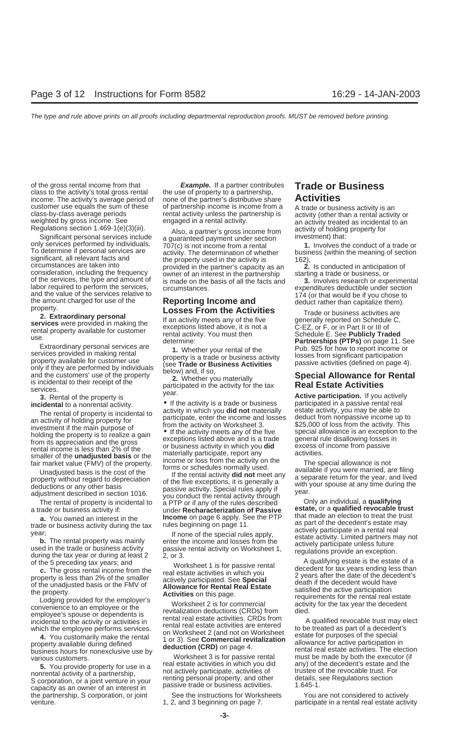of the gross rental income from that **Example.** If a partner contributes **Trade or Business** class to the activity's total gross rental the use of property to a partnership,

To determine if personal services are<br>
significant, all relevant facts and<br>
significant, all relevant facts and<br>
circumstances are taken into<br>
circumstances are taken into provided in the activity is the partiers<br>
or of t

incidental to a nonrental activity.<br>
The rental of property is incidental to a nonrental activity in which you did not materially seate activity, you may be able to<br>
investment of property is incidental to<br>
a participate,

5. You provide property for use in a<br>
nonrental activity of a partnership,<br>
Subsetted and the motion attively participate, activities of<br>
Subsetted and the motion of a partnership,<br>
Subsetted a componently, and other detai the partnership, S corporation, or joint See the instructions for Worksheets You are not considered to actively

none of the partner's distributive share

Significant personal services include investment under section only services performed by individuals. To a guaranteed payment under section only services performed by individuals. To determination of whether To determine

The rental of property is incidental to a PTP or if any of the rules described<br>a trade or business activity if:<br>**a.** You owned an interest in the **lncome** on page 6 apply. See the PTP that made an election to treat the tru

customer use equals the sum of these of partnership income is income from a<br>class-by-class average periods rental activity unless the partnership is activity (other than a rental activity or<br>weighted by gross income. See e

**a.** You owned an interest in the **the come** on page 6 apply. See the PTP that made an election to treat the trust<br>trade or business activity during the tax rules beginning on page 11.<br>year;<br>**b.** The rental property was ma

of the 5 preceding tax years; and<br> **c.** The gross rental income from the<br>
property is less than 2% of the smaller<br>
of the unadjusted basis or the FMV of<br>
the property.<br>
Lodging provided for the employer's<br>
Lodging provided

Employee's spouse of dependents is<br>
incidental to the activity or activities in<br>
which the employee performs services.<br> **4.** You customarily make the rental<br>
property available during defined<br>
business hours for nonexclusi business hours for nonexclusive use by<br>
Worksheet 3 is for passive rental must be made by both the executor (if<br>
The executor (if various customers.<br>
The executor (if various customers.<br>
The executor (if various customers.

venture. **1, 2, and 3 beginning on page 7.** participate in a rental real estate activity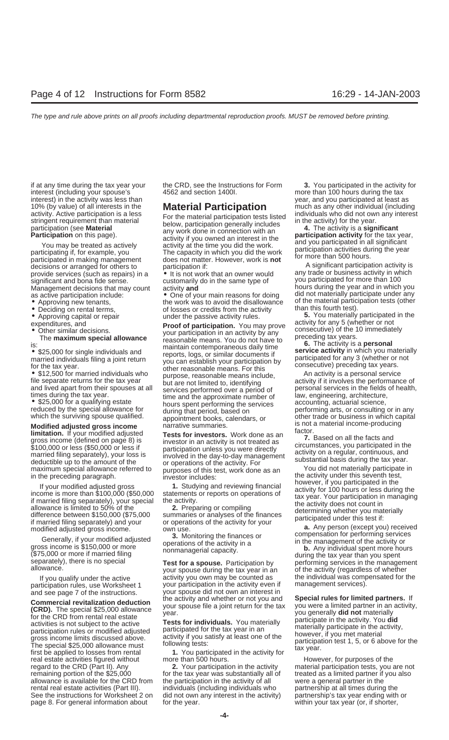interest) in the activity was less than year, and you participated at least as year, and you participated at least as 10% (by value) of all interests in the **Material Participation** much as any other individual (including

participated in making management does not matter. However, work is **not** the individual business.<br>
decisions or arranged for others to participation if:<br>
provide services (such as repairs) in a **e** It is not work that an provide services (such as repairs) in a  $\bullet$  It is not work that an owner would any trade or business activity in which is not work that an owner would any trade or business activity in which significant and bona fide sens significant and bona fide sense. customarily do in the same type of

- 
- 
- 
- 

participation rules, use Worksheet 1

real estate activities figured without more than 500 hours. However, for purposes of the regard to the CRD (Part II). Any **2.** Your participation in the activity material participation tests, you a regard to the CRD (Part II). Any **2.** Your participation in the activity material participation tests, you are not allowance is available for the CRD from the participation in the activity of all were a general partner in the rental real estate activities (Part III). individuals (including individuals who partnership at all times during the See the instructions for Worksheet 2 on did not own any interest in the activity) partnership's tax year ending with or page 8. For general information about for the year. The same within your tax year (or, if shorter,

interest (including your spouse's 4562 and section 1400I. more than 100 hours during the tax

10% (by value) of all interests in the<br>activity. Active participation is a less<br>stringent requirement than material<br>participation (see Material<br>participation (see Material<br>participation (see Material<br>participation (see Mat

• Approving new tenants, the work was to avoid the disallowance of the material participation the Deciding on rental terms,  $\bullet$  Deciding on rental terms, • Deciding on rental terms, of losses or credits from the activity vertextle or rental terms, the story of losses or credits from the activity.

expenditures, and<br>
• Other similar decisions.<br>
The **maximum special allowance**<br>
is:<br>
• \$25,000 for single individuals and<br>
• \$25,000 for single individuals and<br>
is:<br>
• \$25,000 for single individuals and<br>
married individua which the surviving spouse qualified. appointment books, calendars, or

If you qualify under the active active activity you spouse during the tax year in an and of the activity (regardless of whether<br>If you qualify under the active activity you own may be counted as the individual was compensa and see page 7 of the instructions. your spouse did not own an interest in<br>Commercial revitalization deduction the activity and whether or not you and

for the tax year was substantially all of  $\qquad$  treated as a limited partner if you also

if at any time during the tax year your the CRD, see the Instructions for Form **3.** You participated in the activity for

Management decisions that may count activity and **hours** during the year and in which you as active participation include: • One of your main reasons for doing did not materially participate under any<br>• Approving new tenants, the work was to avoid the disallowance of the material participation tests (other

**5.** You materially participated in the activity for any 5 (whether or not

• \$12,500 for married individuals who purpose, reasonable means include, and involves the personal service but are not limited to, identifying activity if it involves the performance of and lived apart from their spouses a and lived apart from their spouses at all<br>times during the tax year.<br>
• \$25,000 for a qualifying estate<br>
• \$25,000 for a qualifying estate<br>
hours spent performing the services accounting, actuarial science, • \$25,000 for a qualitying estate bours spent performing the services accounting, actuarial science,<br>reduced by the special allowance for during that period, based on performing arts, or consulting or in any<br>which the surv **Modified adjusted gross income**<br>**Initation** If your modified adjusted<br>**Tests for investors** West dans as a factor.

**Ilmitation.** If your modified adjusted<br>
Tests for investors. Work done as an factor. T, Based on all the facts and<br>
group (effind on page 8) is investor in an activity is not treated as<br>
for 30,000 or less (\$50,000 or les

**Commercial revitalization deduction**<br> **CRD).** The special \$25,000 allowance<br>
for the CRD from rental real estate<br>
activities is not subject to the active<br>
participation rules or modified adjusted<br>
participated for the tax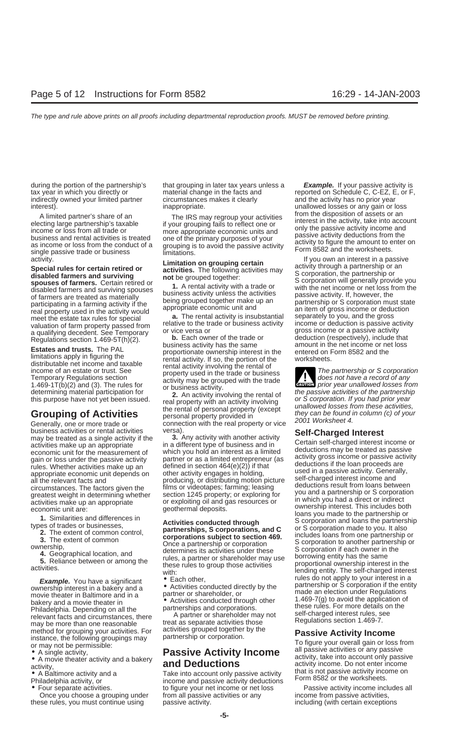interest). increast inappropriate. in the mallowed losses or any gain or loss in appropriate.

A limited partner's share of an<br>electing large partnership's taxable<br>income or loss from all trade or<br>business and rental activities is treated<br>as income or loss from the conduct of a<br>as income or loss from the conduct of

real property used in the activity would<br>
meet the estate tax rules for special **a.** The rental activity is insubstantial separately to you, and the gross<br>
valuation of farm property passed from relative to the trade or bu relative to the trade or business activity income or deduction is passive activity<br>a qualifying decedent. See Temporary or vice versa or gross income or a passive activity<br>Requilations section 1.469-5T(h)(2) **b.** Each owne

business activities or rental activities versa).<br>
may be treated as a single activity if the **3.** Any activity with another activity **Self-Charged Interest**<br>
activities make up an appropriate in a different type of busines

**Example.** You have a significant we fach other,<br>
ownership interest in a bakery and a<br>
movie theater in Baltimore and in a<br>
bakery and a movie theater in<br>
bakery and a movie theater in<br>
bakery and a movie theater in<br>
bake may be more than one reasonable<br>
method for grouping your activities. For activities grouped together by the<br>
instance, the following groupings may partnership or corporation.<br>
To figure your overall gain or loss<br>
To figur

- 
- 
- 

Once you choose a grouping under

during the portion of the partnership's that grouping in later tax years unless a **Example.** If your passive activity is tax year in which you directly or material change in the facts and reported on Schedule C, C-EZ, E, or F, indirectly owned your limited partner circumstances makes it clearly and the activity has no prior year

Regulations section 1.469-5T(h)(2). **b.** Each owner or the trade or deduction (respectively), include that business activity has the same amount in the net income or net loss Estates and trusts. The PAL<br>
limitations apply in figuring the<br>
limitations apply in figuring the<br>
distributable net income and taxable<br>
income of an estate or trust. See<br>
Temporary Regulations section<br>
1.469-1T(b)(2) and

- 
- 

Four separate activity, or income and passive activity deductions<br>Four separate activities. to figure your net income or net loss Passive activity income includes all<br>Once you choose a grouping under from all passive activ these rules, you must continue using passive activity. The passive parameters of including (with certain exceptions

activity.<br>
Special rules for certain retired or<br>
disabled farmers and surviving<br>
spouses of farmers. Certain retired or<br>
disabled farmers and surviving<br>
spouses of farmers. Certain retired or<br>
disabled farmers and survivin

**ENTION** prior year unallowed losses from 1.469-11(b)(z) and (3). The fulles for<br>determining material participation for<br>this purpose have not yet been issued.<br>**Grouping of Activities**<br>Generally, one or more trade or<br>denerally, one or more trade or<br> $\begin{array}{ccc}\n\text{the pastive$ 

economic unit of the measure method which you hold an interest as a limited<br>economic unit of the measure method which you hold an interest as a limited<br>rules. Whether activity energy and definited entergy and the determine

 $\overline{P}$  To figure your overall gain or loss from<br> **Passive Activity Income** all passive activities or any passive<br>
activity take into account only passive • A single activity, and a bakery<br>
• A movie theater activity and a bakery<br>
• A Baltimore activity, and a bakery<br>
• A Baltimore activity, and a bakery<br>
• A Baltimore activity and a bakery<br>
• A Baltimore activity and a bake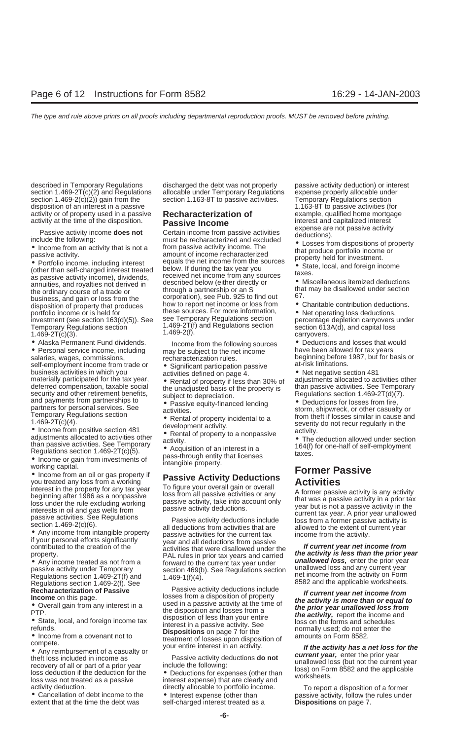described in Temporary Regulations discharged the debt was not properly passive activity deduction) or interest section 1.469-2T(c)(2) and Regulations allocable under Temporary Regulations expense properly allocable under<br>section 1.469-2(c)(2)) gain from the section 1.163-8T to passive activities. Temporary Regulations section section 1.469-2 $(c)(2)$  gain from the disposition of an interest in a passive<br>
activity or of property used in a passive **Recharacterization of** example, qualified home mortgag activity or of property used in a passive **Recharacterization of** example, qualified home mortgage activity at the time of the disposition.<br>**Passive Income Prophetic income** interest and capitalized interest

assive activity income), underlus,<br>
annuities, and royalties not derived in<br>
the ordinary course of a trade or<br>
business, and gain or loss from the corporation), see Pub. 925 to find out<br>
business, and gain or loss from th business, and gain or loss from the corporation), see Pub. 925 to find out 67.<br>
disposition of property that produces how to report net income or loss from • Charitable contribution deductions. portfolio income or is held for<br>investment (see section 163(d)(5)). See see Temporary Regulations section percentage depletion carryovers under investment (see section 163(d)(5)). See see Temporary Regulations section<br>Temporary Regulations section department carry and Regulations section Temporary Regulations section 1.469-2T(f) and Regulations section section 613A(d), and capital loss 1.469-2(f).<br>1.469-2T(c)(3). carryovers.

• Personal service income, including may be subject to the net income salaries, wages, commissions,  $\frac{1}{100}$  recharacterization rules. self-employment income from trade or <br>business activities in which you activities defined on page 4.<br>materially participated for the tax year, <br>expended of property if less than 30% of adjustments allocated to activities o

deferred compensation, taxalle social the unadjusted basis of the property is<br>
security and phase remonent benefits.<br>
Security and payments from partnerships to<br>
the Passive equity-financed lending<br>
and payment for partner

Regulations section 1.469-2T(f) and  $1.469-1(f)(4)$ . Segulations section 1.469-2(f). See  $8582$  and the applicable worksheets.

activity at the time of the disposition. **Passive Income**<br>
Passive activity income does not<br>
include the following:<br>
• Income from an activity that is not a<br>
passive activity that is not a<br>
passive activity.<br>
• Conses fro

materially participated for the tax year, <br>deferred compensation, taxable social the unadjusted basis of the property is than passive activities. See Temporary

property.<br>
All rules in prior tax years and carried<br>
Any income treated as not from a<br>
passive activity under Temporary<br>
passive activity under Temporary<br>
Regulations section 1.469-2T(f) and<br>  $\frac{1.469-1(f)(4)}{1.469-1(f)(4)}$ .

**Recharacterization of Passive** Passive activity deductions include<br> **Income** on this page **Passive** Passes from a disposition of property From a coveral dispession of property<br> **CONFIGUATE CONFIDENT CONFIDENT CONFIDENT CONFIDENT CONFIDENT CONFIDENT CONFIDENT CONFIDENT.<br>
PIP.<br>
Coverall gain from any interest in a passive activity at the time of<br>**  $\bullet$  **State, l** 

Ioss was not treated as a passive interest expense) that are clearly and<br>activity deduction. directly allocable to portfolio income. To report a disposition of a former<br>Cancellation of debt income to the Cancellation of de

self-charged interest treated as a

• Alaska Permanent Fund dividends. Income from the following sources • Deductions and losses that would <br>• Personal service income, including in may be subject to the net income in thave been allowed for tax years recharacterization rules. beginning before 1987, but for basis or<br>• Significant participation passive at-risk limitations.

• Cancellation of debt income to the • Interest expense (other than passive activity, follow the rules under extent that at the time the debt was self-charged interest treated as a **Dispositions** on page 7.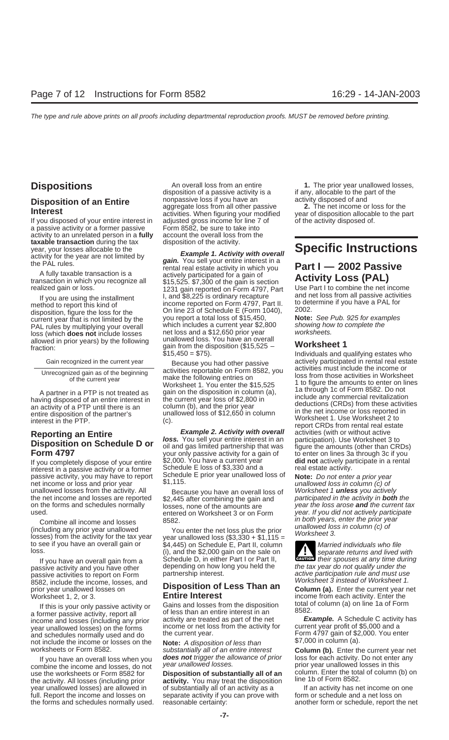If you disposed of your entire interest in adjusted gross income for line 7 of of the activity disposed of. a passive activity or a former passive Form 8582, be sure to take into activity to an unrelated person in a **fully** account the overall loss from the **taxable transaction** during the tax

loss (which **does not** include losses and a \$12,650 prior year allowed in prior years) by the following unallowed loss. You have an overall allowed in prior years) by the following unallowed loss. You have an overall fraction:<br>fraction: gain from the disposition (\$15,525 –

net income or loss and prior year  $\frac{1,115}{2}$ . unallowed losses from the activity. All Because you have an overall loss of Worksheet 1 **unless** you actively the net income and losses are reported \$2.445 after combining the gain and participated in the activity in **both** the net income and losses are reported \$2,445 after combining the gain and on the forms and schedules normally losses, none of the amounts are on the forms and schedules normally losses, none of the amounts are year the loss arose **and** the current tax<br>used. entered on Worksheet 3 or on Form year. If you did not actively participate

Combine all income and losses<br>(including any prior year unallowed<br>losses) from the activity for the tax year<br>to see if you have an overall gain or  $\begin{array}{c} 8582. \\ \text{Year} \\ \text{Year} \\ \text{Year} \\ \text{Year} \\ \text{Year} \\ \text{Year} \\ \text{34,445} \\ \text{3330 + $1,11$ 

If you have an overall gain from a passive activities to report on Form partnership interest.<br>
active participation rule and must use<br>
8582 include the income losses and extent of the matter of the matter of the must use prior year unallowed losses on **Disposition of Less Than an** prior year unallowed losses on **Disposition of Less Than an Column (A)** Worksheet 1, 2, or 3. **Entire Interest** income from each activity. Enter the

income and losses (including any prior activity are treated as part or the net<br>year unallowed losses) on the forms income or net loss from the activity for current year profit of \$5,000 and a<br>and schedules normally used an and schedules normally used and do the current year. Form  $4797$  gain of  $\frac{32}{2}$  not include the income or losses on the **Note:** A disposition of less than  $\frac{37,000}{2}$  in column (a).

If you have an overall loss when you **does not** trigger the allowance of prior loss for each activity. Do not enter any combine the income and losses, do not year unallowed losses. use the worksheets or Form 8582 for **Disposition of substantially all of an** column. Enter the total of column (b) on the activity. All losses (including prior **activity.** You may treat the disposition line 10 of Form 8582.<br>year unallowed losses) are allowed in cof substantially all of an activity as a let an activity has net income on on year unallowed losses) are allowed in of substantially all of an activity as a If an activity has net income on o<br>
full. Report the income and losses on separate activity if you can prove with form or schedule and a net lo full. Report the income and losses on separate activity if you can prove with

**Dispositions** An overall loss from an entire **1.** The prior year unallowed losses,<br>disposition of a passive activity is a if any, allocable to the part of the disposition of a passive activity is a **Disposition of an Entire the compassive loss if you have an** activity disposed of and<br> **Interest Company** and address from all other passive **1.** The net income or loss for the and **Interest interest** 

retains activity or the section of the activity.<br>
year, your losses allocable to the<br>
the PAL rules.<br>
A fully taxable transaction is a<br>
A fully taxable transaction is a<br>
A fully taxable transaction is a<br>
A fully taxable tr France in which you recognize all<br>respection in which you recognize all<br>respection a gain of the gain is section<br>1231 gain reported on Form 4797, Part Use Part I to combine the net income<br>If you are using the installment I If you are using the installment I, and \$8,225 is ordinary recapture and net loss from all passive activities<br>
I, and \$8,225 is ordinary recapture and net loss from all passive activities<br>
Income reported on Form 4797, Par disposition, figure the loss for the  $\sigma$  On line 23 of Schedule E (Form 1040),  $\sigma$  2002.<br>Current year that is not limited by the you report a total loss of \$15,450, **Note:** See Pub. 925 for examples current year that is not limited by the you report a total loss of \$15,450, **Note:** See Pub. 925 for exam<br>PAL rules by multiplying your overall which includes a current year \$2,800 showing how to complete the PAL rules by multiplying your overall which includes a current year \$2,800 showing how<br>loss (which **does not** include losses and a \$12,650 prior year worksheets. gain from the disposition (\$15,525 – **Worksheet 1 filteration: \$15,450 = \$75).** Individuals and qualifying estates who

Unrecognized gain as of the beginning activities reportable on Form 8582, you activities must include the income or<br>of the current year make the following entries on the form the eactivities in Worksheet

**Reporting an Entire Example 2. Activity with overall** activities (with or without active<br> **Rignonition on Schadule Dev** loss. You sell your entire interest in an participation). Use Worksheet 3 to **Disposition on Schedule D or**<br> **Solution** Schedule D or<br> **Form 4797** wour only passive activity for a gain of the emounts (other than CRDs)<br>
If you completely dispose of your entire<br>
interest in a passive activity or a fo passive activity or a former<br>passive activity, you may have to report Schedule E prior year unallowed loss of **Note:** Do not enter a prior year<br>passive activity, you may have to report Schedule E prior year unallowed loss

entered on Worksheet 3 or on Form year. If you did not actively participate<br>8582. *n* hoth years, enter the prior year

to see if you have an overall gain or  $$4,445$  on Schedule E, Part II, column Married individuals who file<br>loss. (i), and the \$2,000 gain on the sale on separate returns and lived with Senate of the Section of the sale of the sale of the sale of the sparate returns and lived with<br>
Schedule D, in either Part I or Part II, **ENDIES** their spouses at any time during passive activity and you have other depending on how long you held the the tax year do not qualify under the passive activity and you have other partnership interest.

If this is your only passive activity or Gains and losses from the disposition total of column (a) on line 1a of Form<br>a former passive activity, report all of less than an entire interest in an 8582.<br>income and losses (inc

not include the income or losses on the **Note:** A disposition of less than **Note:**  $\frac{1}{2}$  and  $\frac{1}{2}$  and  $\frac{1}{2}$  and  $\frac{1}{2}$  and  $\frac{1}{2}$  and  $\frac{1}{2}$  and  $\frac{1}{2}$  and  $\frac{1}{2}$  and  $\frac{1}{2}$  and  $\frac{1}{2}$  and

Gain recognized in the current year Because you had other passive actively participated in rental real estate<br>activities reportable on Form 8582 you activities must include the income or Worksheet 1. You enter the \$15,525 1 to figure the amounts to enter on lines  $\frac{1}{10}$  on the disposition in column (a) 1 a through 1c of Form 8582. Do not A partner in a PTP is not treated as<br>
having disposed of an entire interest in<br>
an activity of a PTP until there is an<br>
entire disposition of the partner's<br>
interest in the PTP.<br>
(c).<br>
and the prior year<br>
the net income or

8582, include the income, losses, and **Disposition of Less Than an** Worksheet 3 instead of Worksheet 1.<br>Brior vear unallowed losses on **Disposition of Less Than an Column (a).** Enter the current year net

the forms and schedules normally used. reasonable certainty: another form or schedule, report the net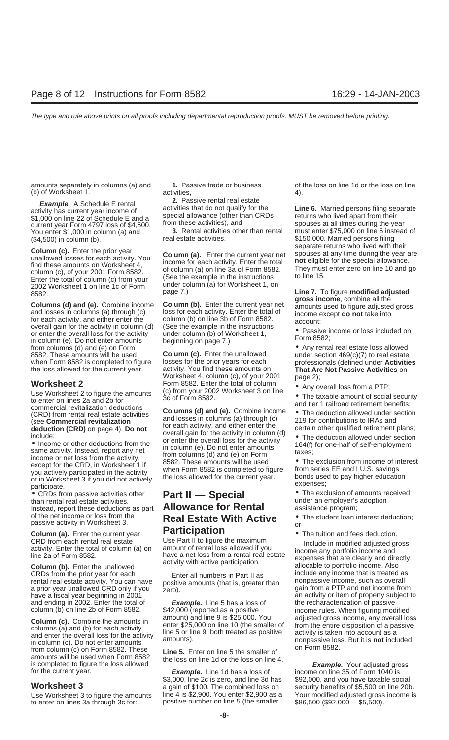amounts separately in columns (a) and **1.** Passive trade or business of the loss on line 1d or the loss on line (b) of Worksheet 1.  $\qquad \qquad$  activities,  $\qquad \qquad$  4).

\$1,000 on line 22 of Schedule E and a special allowance (other than CRDS returns who lived apart from their<br>current year Form 4797 loss of \$4,500. from these activities), and spouses at all times during the year<br>You enter

**Column (c).** Enter the prior year<br>
unallowed losses for each activity. You<br>
find these amounts on Worksheet 4,<br>
column (c), of your 2001 Form 8582.<br>
Enter the total of column (c) from your<br>
2002 Worksheet 1 on line 1c of

for each activity, and either enter the column (b) on line 3b of Form 8582.<br>
overall gain for the activity in column (d) (See the example in the instructions<br>
or enter the overall loss for the activity under column (b) of in column (e). Do not enter amounts beginning on page 7.)<br>
from columns (d) and (e) on Form **•** Any rental real estate loss allowed<br>
8582. These amounts will be used **Column (c).** Enter the unallowed under section 469(c)( 8582. These amounts will be used **Column (c).** Enter the unallowed under section 469(c)(7) to real estate when Form 8582 is completed to figure losses for the prior years for each vertissionals (defined under **Activitie** when Form 8582 is completed to figure losses for the prior years for each professionals (defined under **Activities**<br>the loss allowed for the current year. activity. You find these amounts on **That Are Not Passive Activitie** 

Use Worksheet 2 to figure the amounts<br>to enter on lines 2a and 2b for<br>commercial revitalization deductions<br>(CRD) from rental real estate activities<br>(CRD) from rental real estate activities<br>onlines and (e). Combine income<br>o

Instead, report these deductions as part

**Column (a).** Enter the current year **Participation** • The tuition and fees deduction.<br>CRD from each rental real estate Use Part II to figure the maximum **builde** in modified adjusted or

**Column (b).** Enter the unallowed<br>
CRDs from the prior year for each Enter all numbers in Part II as include any income that is treated as<br>
rental real estate activity. You can have positive amounts (that is greater than n rental real estate activity. You can have positive amounts (that is, greater than nonpassive income, such as overall a prior year unallowed CRD only if you zero).<br>have a fiscal year beginning in 2001 an activity or item of and ending in 2002. Enter the total of **Example.** Line 5 has a loss of the recharacterization of passive column (b) on line 2b of Form 8582.  $$42,000$  (reported as a positive income rules. When figuring mod

**Column (c).** Combine the amounts in amount) and line 9 is \$25,000. You adjusted gross income, any overall loss<br>columns (a) and (b) for each activity inter \$25,000 on line 10 (the smaller of from the entire disposition of

to enter on lines 3a through 3c for:

**Example.** A Schedule E rental **2.** Passive rental real estate<br>activity has current year income of activities that do not qualify for the **Line 6.** Married persons filing separate<br>\$1,000 on line 22 of Schedule E and a spec

**Columns (d) and (e).** Combine income **Column (b).** Enter the current year net amounts used to figure adjusted gross and losses in columns (a) through (c) loss for each activity. Enter the total of income except **do not**

Worksheet 4, column (c), of your 2001 page 2);<br>Form 8582. Enter the total of column **Worksheet 2** Form 8582. Enter the total of column Use Worksheet 2 to figure the amounts (c) from your 2002 Worksheet 3 on line <br>to enter on lines 2a and 2b for 3c of Form 8582.

(CRD) from rental real estate activities<br>
(see **Commercial revitalization** and losses in columns (a) through (c) 219 for contributions to IRAs and<br>
deduction (CRD) on page 4). Do not for each activity, and either enter the deduction (CRD) on page 4). Do not<br>
include:<br>
• Income or other deductions from the<br>
include:<br>
• Income or other deductions from the<br>
same activity, Instead, report any net<br>
inclumn (e). Do not eactivity in column (d)<br>
or

## participate.<br>
• CRDs from passive activities other **Part II — Special** • The exclusion of amounts received than rental real estate activities. than rental real real ender an employer's adoption<br>**Allowance for Rental** essistance program; of the net income or loss from the **Real Estate With Active** • The student loan interest deduction;<br> **Participation**<br> **Participation**<br> **Participation**

\$42,000 (reported as a positive income rules. When figuring modified<br>amount) and line 9 is \$25,000. You inconsitied gross income, any overall los

\$3,000, line 2c is zero, and line 3d has \$92,000, and you have taxable social<br>a gain of \$100. The combined loss on security benefits of \$5,500 on line 20b.<br>Use Worksheet 3 to figure the amounts line 4 is \$2,900. You enter

You enter \$1,000 in column (a) and **3.** Rental activities other than rental must enter \$75,000 on line 6 instead of You enter \$75,000 on line 6 instead of You enter \$75,000 on line 6 instead of  $\frac{1}{2}$  $(4,500)$  in column (b).  $\sim$  real estate activities.  $\sim$  \$150,000. Married persons filing  $\sim$  \$150,000. Married persons filing

2002 Worksheet 1 on line 1c of Form under column (a) for worksheet 1, on<br>8582. **Line 7.** To figure **modified adjusted**<br>2. **page 7. Line 7.** To figure **modified adjusted**<br>**2. page 7. page 7. page 1. page 1. page** 

**That Are Not Passive Activities on** 

- 
- 

CRD from each rental real estate<br>activity. Enter the total of column (a) on<br>line 2a of Form 8582.<br>Column (b). Enter the unallowed<br>callowed activity with active participation.<br>Column (b). Enter the unallowed<br>activity with a an activity or item of property subject to

Use Worksheet 3 to figure the amounts line 4 is \$2,900. You enter \$2,900 as a Your modified adjusted gross income is to enter the 4 is \$2,900. You enter \$2,900 as a Your modified adjusted gross income is to enter on line 5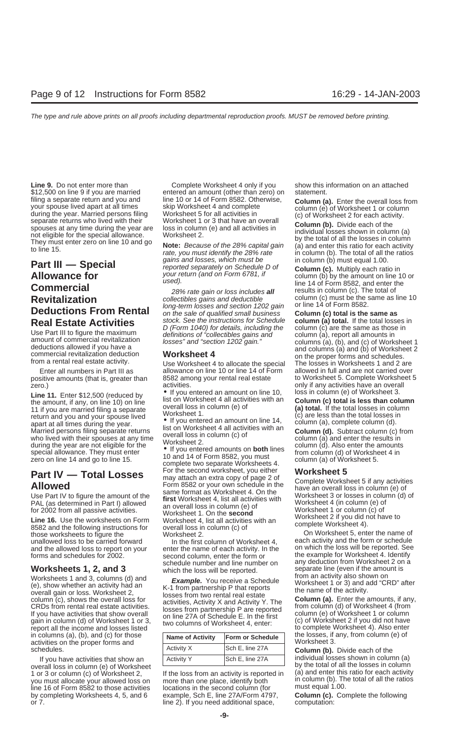**Line 9.** Do not enter more than Complete Worksheet 4 only if you show this information on an attached \$12,500 on line 9 if you are married entered an amount (other than zero) on statement.<br>filing a separate return and you and line 10 or 14 of Form 8582. Otherwise, column ta filing a separate return and you and line 10 or 14 of Form 8582. Otherwise, **Column (a).** Enter the overall loss from your spouse lived apart at all times skip Worksheet 4 and complete column (e) of Worksheet 1 or column your spouse lived apart at all times<br>
during the year. Married persons filing<br>
separate returns who lived with their<br>
separate returns who lived with their<br>
spouses at any time during the year are<br>
spouses at any time duri

# **Part III** — Special gains and losses, which must be in column (b) must equal 1.00.<br> **Allowance for** your return (and on Form 6781, if column (c). Multiply each ratio in your return (and on Form 6781, if line 14 of Form 8

positive amounts (that is, greater than 8582 among your rental real estate  $\frac{1}{2}$ 

Line 11. Enter \$12,500 (reduced by Fill you entered an amount on line 10, Line Star Column (e) or Worksheet 3.<br>the amount, if any, on line 10) on line list on Worksheet 4 all activities with an **Column (c) total is less th** the amount, if any, on line 10) on line is the strategy of the amount of the strategy of the amount, if any, on line overall loss in column (e) of **a column (c) total is less than column**<br>11 if you are married filing a return and you and your spouse lived<br>apart at all times during the year. <br>apart at all times during the year. Form and you and you spouse lived<br>
apart at all times during the year.<br>
Married persons filing separate returns<br>
who lived with their spouses at any time<br>
who lived with their spouses at any time<br>
who lived with their spou

those worksheets to figure the Worksheet 2. Column of Worksheet 4, Column of Worksheet 5, enter the name of unallowed loss to be carried forward In the first column of Worksheet 4, each activity and the form or schedule an and the allowed loss to report on your enter the name of each activity. In the forms and schedules for 2002. Second column, enter the form or the example for Worksheet 4. Identify

Worksheets 1 and 3, columns (d) and<br>
(e), show whether an activity had an<br>
overall gain or loss. Worksheet 2,<br>
column (c), shows the overall loss for<br>
CRDs from rental real estate activities.<br>
If you have activities that s in columns (a), (b), and (c) for those **Name of Activity Form or Schedule** the losses, if any, from column (e) of activities on the proper forms and Worksheet 3.

overall loss in column (e) of Worksheet  $\overline{a}$  by the total of all the losses in column<br>of a or column (c) of Worksheet 2 and the loss from an activity is reported in (a) and enter this ratio for each activity 1 or 3 or column (c) of Worksheet 2, The loss from an activity is reported in (a) and enter this ratio for each activity is reported in (a) and enter this ratio for each activity vou must allocate your allowed loss on The you must allocate your allowed loss on more than one place, identify both line total in the total of all the ratio<br>line 16 of Form 8582 to those activities locations in the second column (for must equal 1.00.<br>by completing by completing Worksheets 4, 5, and 6 or 7. **If you need additional space,** computation:

**POITTION CHATE:**<br>Revitalization collectibles gains and deductible column (c) must be the same as line 10<br>Deductione Fram Dentel *long-term losses and section 1202 gain* or line 14 of Form 8582. or line 14 of Form 8582. long-term losses and section 1202 gain **Deductions From Rental** on the sale of qualified small business **Column (c) total is the same as Real Estate Activities** stock. See the instructions for Schedule **column (a) total.** If the total losses in <br>D (Form 1040) for details, including the column (c) are the same as those in

Enter all numbers in Part III as allowance on line 10 or line 14 of Form allowed in full and are not carried over<br>sitive amounts (that is, greater than 8582 among your rental real estate bold or allowsheet 5, Complete Work

**Part IV — Total Losses** For the second worksheet, you either **Worksheet 5**<br>All asses Form 9582 or your own orbedule in the Complete Worksheet 5 if any activities **Allowed**<br> **Complete Worksheet 5 if any activities**<br>
Use Part IV to figure the amount of the<br>
PAL (as determined in Part I) allowed<br>
Form 8582 or your own schedule in the<br>
PAL (as determined in Part I) allowed<br>
FAL (as det

schedule number and line number on any deduction from Worksheet 2 on a<br>which the loss will be reported separate line (even if the amount is

| in columns $(a)$ , $(b)$ , and $(c)$ for those<br>activities on the proper forms and | <b>Name of Activity</b> | <b>Form or Schedule</b> | the losses, if any, from column (<br>Worksheet 3.                       |
|--------------------------------------------------------------------------------------|-------------------------|-------------------------|-------------------------------------------------------------------------|
| schedules.                                                                           | Activity X              | Sch E. line 27A         | <b>Column (b).</b> Divide each of the                                   |
| If you have activities that show an                                                  | <b>Activity Y</b>       | ISch E. line 27A        | individual losses shown in colun<br>hy the total of all the locase in a |

Use Part III to figure the maximum<br>
Use Part III to figure the maximum<br>
definitions of "collectibles gains and<br>
deductions allowed if you have a<br>
commercial revitalization deduction<br>
from a rental real estate activity.<br>
Us zero.) activities. activities and activities and activities have an overall activities have an overall election<br>
I ine 11 Enter \$12,500 (reduced by  $\bullet$  If you entered an amount on line 10, loss in column (e) of Worksheet

**Worksheets 1, 2, and 3** which the loss will be reported. Separate line (even if the amount is a which the loss will be reported. Separate line (even if the amount is which the loss will be reported.

Activity Y Sch E, line 27A individual losses shown in column (a) If you have activities that show an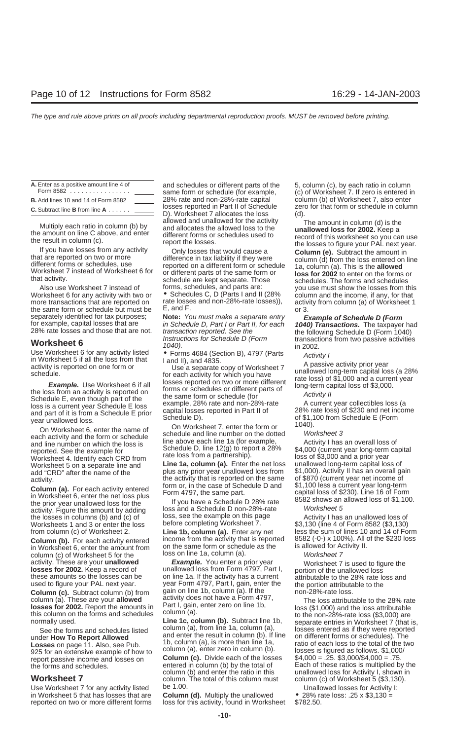| A. Enter as a positive amount line 4 of<br>Form 8582 |  |
|------------------------------------------------------|--|
| <b>B.</b> Add lines 10 and 14 of Form 8582           |  |
| C. Cubtract line D from line A                       |  |

more transactions that are reported on rate losses and non-28%-rate losses)), activity from column (a) of Worksheet 1 the same form or schedule but must be  $E$ , and F. same form or schedule but must be  $E$ , and F.

and part of it is from a Schedule E prior<br>year unallowed loss.<br>Schedule D). On Worksheet 7 enter the form or  $\frac{1040}{2000}$ .

and line number on which the loss is<br>
reported. See the example for<br>
Worksheet 4. Identify each CRD from<br>
Worksheet 5 on a separate line and<br>
Worksheet 5 on a separate line and<br>
Line 1a, column (a). Enter the net loss unal

the prior year unallowed loss for the the state of the state activity. Figure this amount by adding loss and a Schedule D non-28%-rate worksheet 5 activity. Figure this amount by adding loss and a Schedule D non-28%-rate W the losses in columns (b) and (c) of loss, see the example on this pa<br>Worksheets 1 and 3 or enter the loss before completing Worksheet 7. Worksheets 1 and 3 or enter the loss before completing Worksheet 7. \$3,130 (line 4 of Form 8582 (\$3,130)

column (c) of Worksheet 5 for the loss on line 1a, column (a).<br>activity. These are your **unallowed** Example. You enter a prior year

**Column (c).** Divide each of the losses the forms and schedules. **Column (c).** Divide each of the losses the forms and schedules.

Use Worksheet 7 for any activity listed be 1.00.<br>in Worksheet 5 that has losses that are **Column (d).** Multiply the unallowed • 28% rate loss: .25 x \$3,130 =

28% rate and non-28%-rate capital<br>losses reported in Part II of Schedule

All activity.<br>Also use Worksheet 7 instead of forms, schedules, and parts are: you use must show the losses from this<br>2) you use must show the losses from this are: you use must show the losses from this orksheet 6 for any Worksheet 6 for any activity with two or • Schedules C, D (Parts I and II (28% column and the income, if any, for that more transactions that are reported on rate losses and non-28%-rate losses)), activity from column (a)

separately identified for tax purposes;<br>for example, capital losses that are in Schedule D, Part I or Part II, for each **1040) Transactions.** The taxpayer had<br>28% rate losses and those that are not.<br>**Worksheet 6 Workshee** 

Use Worksheet 6 for any activity listed<br>
in Worksheet 5 if all the loss from that<br>
activity is reported on one form or<br>
schedule.<br> **Example.** Use Worksheet 6 if all<br>
the loss trom some or more different that the same copy

On Worksheet 6, enter the name of On Worksheet 7, enter the form or  $1040$ .<br>
each activity and the form or schedule and line number on the dotted Worksheet 3 each activity and the form or schedule ine above each line 1a (

Worksheet 5 on a separate line and **Line 1a, column (a).** Enter the net loss add "CRD" after the name of the plus any prior year unallowed loss from activity.<br>
the activity that is reported on the same of \$870 (current year net income of<br> **Column (a)** Est soch activity orthoror form or, in the case of Schedule D and \$1,100 less a current year long-term

from column (c) of Worksheet 2. **Line 1b, column (a).** Enter any net less the sum of lines 10 and 14 of Form<br>Column (b) For each activity entered income from the activity that is reported 8582 (-0-) x 100%). All of the \$23 **Column (b).** For each activity entered income from the activity that is reported  $8582$  (-0-) x 100%). All consider the amount from the same form or schedule as the is allowed for Activity II.<br>column (c) of Worksheet 5 f

activity. These are your **unallowed** Example. You enter a prior year worksheet 7 is used to figure the<br>losses for 2002. Keep a record of unallowed loss from Form 4797, Part I, portion of the unallowed loss<br>these amounts so these amounts so the losses can be  $\frac{1}{2}$  on line 1a. If the activity has a current attributable to the 28% rate loss and used to figure your PAL next year. year Form 4797, Part I, gain, enter the  $\frac{1}{2}$  the portion **Column (c).** Subtract column (b) from gain on line 1b, column (a). If the non-28%-rate loss.<br>
column (a) These are your **allowed** activity does not have a Form 4797,

See the forms and schedules listed<br>
under How To Report Allowed<br>
Losses on page 11. Also, see Pub.<br>
1. Also, see Pub.<br>
1. Also, see Pub.<br>
1. Column (a), is more than line 1a,<br>
column (a), is more than line 1a,<br>
column (a), Secolumn (a), enter zero in column (b). Insees is figured as follows. \$1,000/<br>report passive income and losses on **Column (c).** Divide each of the losses \$4,000 = .25. \$3,000/\$4,000 = .75. entered in column (b) by the total of Each of these ratios is multiplied by the column (b) and enter the ratio in this unallowed loss for Activity I, shown in **Worksheet 7** column. The total of this column must column (c) of Worksheet 5 (\$3,130).

in Worksheet 5 that has losses that are **Column (d).** Multiply the unallowed • 28% rate reported on two or more different forms loss for this activity, found in Worksheet \$782.50. loss for this activity, found in Worksheet

and schedules or different parts of the 5, column (c), by each ratio in column<br>same form or schedule (for example, (c) of Worksheet 7. If zero is entered in<br>28% rate and non-28%-rate capital column (b) of Worksheet 7, also losses reported in Part II of Schedule zero for that form or schedule in column **C.** Subtract line **B** from line**<sup>A</sup>** ...... D). Worksheet 7 allocates the loss (d).

Multiply each ratio in column (b) by<br>the amount on line C above, and enter<br>the result in column (c).<br>the result in column (c).<br>If you have losses from any activity<br>that are reported on two or more<br>different forms or schedu

\$1,000). Activity II has an overall gain<br>of \$870 (current year net income of **Column (a).** For each activity entered<br>
in Worksheet 6, enter the net loss plus<br>
the prior year unallowed loss for the the series of Schedule D 28% rate the same part.<br>
If you have a Schedule D 28% rate 8582 shows an allo

Column (a). These are your **allowed**<br> **Column (a).** The loss attributable to the 28% rate<br> **Column (a).** The loss attributable to the 28% rate<br> **Column (a).** The loss attributable to the 28% rate<br> **Column (a).** The loss at unallowed loss for Activity I, shown in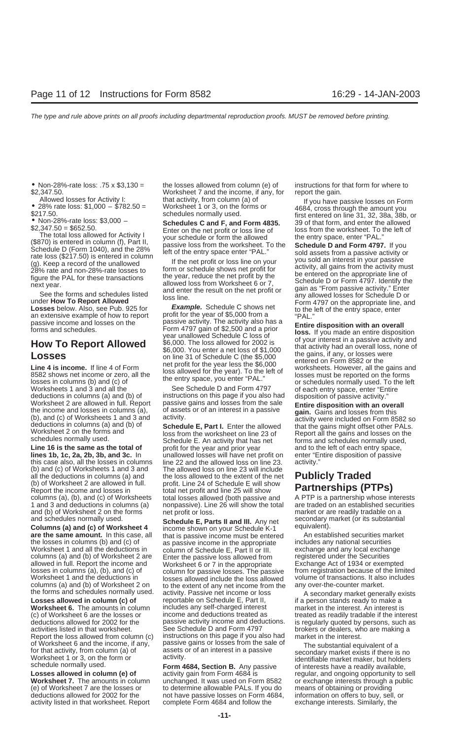losses in columns (b) and (c) of the See Schedule D and Form 4797 or schedules normally used. To the left Worksheets 1 and 3 and all the See Schedule D and Form 4797 of each entry space, enter "Entire deductions in columns

Line 16 is the same as the total of profit for the year and prior year and to the left of each entry space, **lines 1b, 1c, 2a, 2b, 3b, and 3c.** In unallowed losses will have net profit on enter "Entire disposition of passive this case also, all the losses in columns line 22 and the allowed loss on line 23. activity." (b) and (c) of Worksheets 1 and 3 and The allowed loss on line 23 will include all the deductions in columns (a) and the loss allowed to the extent of the net all the deductions in columns (a) and the loss allowed to the extent of the net **Publicly Traded**<br>
(b) of Worksheet 2 are allowed in full. profit. Line 24 of Schedule E will show **Partnerships (PTPs)** Report the income and losses in **Particular interprofit and line 25 will show Particular Ships (PIPS)**<br>
Particular columns (a), (b), and (c) of Worksheets total losses allowed (both passive and APTP is a partnership whos columns (a), (b), and (c) of Worksheets total losses allowed (both passive and A PTP is a partnership whose interests<br>1 and 3 and deductions in columns (a) nonpassive). Line 26 will show the total are traded on an establis and (b) of Worksheet 2 on the forms market or loss. market or are readily tradable on a net profit or loss. market or are readily tradable on a net profit or loss. The market or are readily tradable on a net profit or loss

**Losses allowed in column (c) of** reportable on Schedule E, Part II, if a person stands ready to make a **Worksheet 6.** The amounts in column includes any self-charged interest market in the interest. An interest is includes any self-charged interest market in the interest of c) of Worksheet 6 are the losses or income and ded (c) of Worksheet 6 are the losses or income and deductions treated as incorted as readily tradable if the interest deductions allowed for 2002 for the passive activity income and deductions. In present as deductions allowe activities listed in that worksheet. brokers or dealers, who are making a set of the Schedule D and Form 4797 Report the loss allowed from column  $(c)$  instructions on this page if you also had market in the interest. of Worksheet 6 and the income, if any passive gains or losses from the sale of  $\tau_{\text{the} \text{ substantial}}$ of Worksheet 6 and the income, if any, passive gains or losses from the sale of The substantial equivalent of a<br>for that activity, from column (a) of assets or of an interest in a passive secondary market exists if there i

activity listed in that worksheet. Report complete Form 4684 and follow the exchange interests. Similarly, the

• Non-28%-rate loss: .75 x \$3,130 = the losses allowed from column (e) of instructions for that form for where to \$2,347.50. Worksheet 7 and the income, if any, for report the gain.<br>Allowed losses for Activity I: that activity, from column (a) of the the that activity of the the report the v

massive income and losses on the the passive activity. The activity also has a<br>forms and schedules.<br>
Form 4797 gain of \$2,500 and a prior<br>
year unallowed School. The loss dispued C loss of your interest in a passive activi

deductions in columns (a) and (b) of instructions on this page if you also had disposition of passive activity."<br>Worksheet 2 are allowed in full. Report passive gains and losses from the sale **Entire disposition with an ov** 

nonpassive). Line 26 will show the total

and schedules normally used.<br> **Schedule E, Parts II and III.** Any net **Secondary market (or its substantial**<br> **Columns (a) and (c) of Worksheet 4** income shown on your Schedule K-1 equivalent).<br>
The same **amount.** In this Worksheet 1 and the deductions in any losses allowed include the loss allowed volume of transactions. It also includes columns (a) and (b) of Worksheet 2 on the extent of any net income from the any over-the-counter market

**Worksheet 7.** The amounts in column unchanged. It was used on Form 8582 or exchange interests through a public (e) of Worksheet 7 are the losses or to determine allowable PALs. If you do means of obtaining or providing (e) of Worksheet 7 are the losses or to determine allowable PALs. If you do means of obtaining or providing deductions allowed for 2002 for the not have passive losses on Form 4684, information on offers to buy, sell, or not have passive losses on Form 4684,

Allowed losses for Activity l:<br>
• 28% rate loss: \$1,000 - \$782.50 = Worksheet 1 or 3, on the forms or<br>
\$217.50.<br>
• Non-28%-rate loss: \$3,000 - Schedules normally used.<br>
• Non-28%-rate loss: \$3,000 - Schedules C and F, and

The total loss allowed for Activity I<br>
(\$870) is entered in column (f), Part II,<br>
Schedule D (Form 1040), and the 28%<br>
Schedule D (Form 1040), and the 28%<br>
Schedule D and Form 4797. If you<br>
(g). Keep a record of the unallo

Worksheet 2 are allowed in full. Report passive gains and losses from the sale<br>the income and losses in columns (a), of assets or of an interest in a passive<br>(b), and (c) of Worksheets 1 and 3 and activity.<br>deductions in c

is regularly quoted by persons, such as

**Losses allowed in column (e) of** activity gain from Form 4684 is regular, and ongoing opportunity to sell